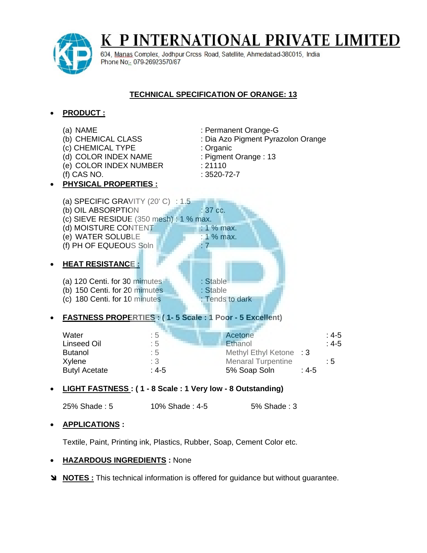

K P INTERNATIONAL PRIVATE LIMITED

604, Manas Complex, Jodhpur Cross Road, Satellite, Ahmedabad-380015, India Phone No: 079-26923570/87

## **TECHNICAL SPECIFICATION OF ORANGE: 13**

## **PRODUCT :**



**LIGHT FASTNESS : ( 1 - 8 Scale : 1 Very low - 8 Outstanding)**

25% Shade : 5 10% Shade : 4-5 5% Shade : 3

## **APPLICATIONS :**

Textile, Paint, Printing ink, Plastics, Rubber, Soap, Cement Color etc.

## **HAZARDOUS INGREDIENTS :** None

**NOTES :** This technical information is offered for guidance but without guarantee.